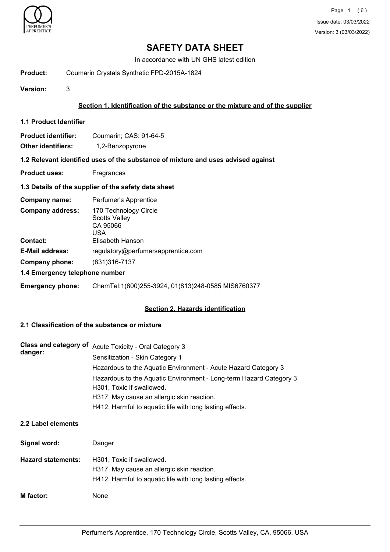

In accordance with UN GHS latest edition

**Product:** Coumarin Crystals Synthetic FPD-2015A-1824

**Version:** 3

# **Section 1. Identification of the substance or the mixture and of the supplier**

**1.1 Product Identifier**

| <b>Product identifier:</b> | Coumarin: CAS: 91-64-5 |
|----------------------------|------------------------|
| <b>Other identifiers:</b>  | 1,2-Benzopyrone        |

#### **1.2 Relevant identified uses of the substance of mixture and uses advised against**

**Product uses:** Fragrances

# **1.3 Details of the supplier of the safety data sheet**

| Company name:                  | Perfumer's Apprentice                                            |  |
|--------------------------------|------------------------------------------------------------------|--|
| <b>Company address:</b>        | 170 Technology Circle<br><b>Scotts Valley</b><br>CA 95066<br>USA |  |
| <b>Contact:</b>                | Elisabeth Hanson                                                 |  |
| <b>E-Mail address:</b>         | regulatory@perfumersapprentice.com                               |  |
| Company phone:                 | (831) 316-7137                                                   |  |
| 1.4 Emergency telephone number |                                                                  |  |

**Emergency phone:** ChemTel:1(800)255-3924, 01(813)248-0585 MIS6760377

# **Section 2. Hazards identification**

# **2.1 Classification of the substance or mixture**

| Class and category of<br>danger: | <b>Acute Toxicity - Oral Category 3</b>                                                         |
|----------------------------------|-------------------------------------------------------------------------------------------------|
|                                  | Sensitization - Skin Category 1                                                                 |
|                                  | Hazardous to the Aquatic Environment - Acute Hazard Category 3                                  |
|                                  | Hazardous to the Aquatic Environment - Long-term Hazard Category 3<br>H301, Toxic if swallowed. |
|                                  | H317, May cause an allergic skin reaction.                                                      |
|                                  | H412, Harmful to aquatic life with long lasting effects.                                        |

# **2.2 Label elements**

| Signal word:              | Danger                                                                                                                              |
|---------------------------|-------------------------------------------------------------------------------------------------------------------------------------|
| <b>Hazard statements:</b> | H301, Toxic if swallowed.<br>H317, May cause an allergic skin reaction.<br>H412, Harmful to aquatic life with long lasting effects. |
| <b>M</b> factor:          | None                                                                                                                                |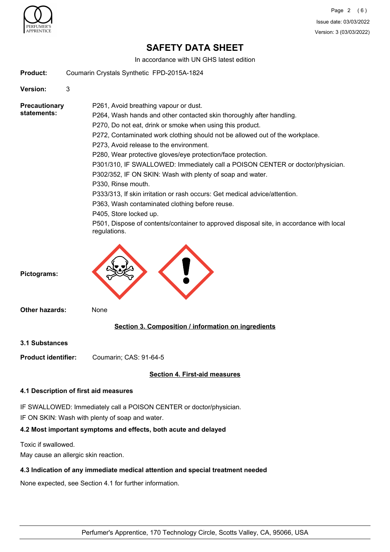

In accordance with UN GHS latest edition

**Product:** Coumarin Crystals Synthetic FPD-2015A-1824

**Version:** 3

P261, Avoid breathing vapour or dust. P264, Wash hands and other contacted skin thoroughly after handling. P270, Do not eat, drink or smoke when using this product. P272, Contaminated work clothing should not be allowed out of the workplace. P273, Avoid release to the environment. P280, Wear protective gloves/eye protection/face protection. P301/310, IF SWALLOWED: Immediately call a POISON CENTER or doctor/physician. P302/352, IF ON SKIN: Wash with plenty of soap and water. P330, Rinse mouth. P333/313, If skin irritation or rash occurs: Get medical advice/attention. P363, Wash contaminated clothing before reuse. P405, Store locked up. P501, Dispose of contents/container to approved disposal site, in accordance with local **Precautionary statements:**

**Pictograms:**

**Other hazards:** None

regulations.

# **Section 3. Composition / information on ingredients**

**3.1 Substances**

**Product identifier:** Coumarin; CAS: 91-64-5

# **Section 4. First-aid measures**

# **4.1 Description of first aid measures**

IF SWALLOWED: Immediately call a POISON CENTER or doctor/physician. IF ON SKIN: Wash with plenty of soap and water.

# **4.2 Most important symptoms and effects, both acute and delayed**

Toxic if swallowed.

May cause an allergic skin reaction.

# **4.3 Indication of any immediate medical attention and special treatment needed**

None expected, see Section 4.1 for further information.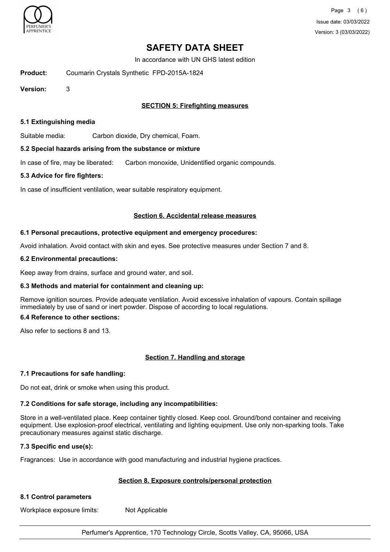

In accordance with UN GHS latest edition

**Product:** Coumarin Crystals Synthetic FPD-2015A-1824

**Version:** 3

# **SECTION 5: Firefighting measures**

### **5.1 Extinguishing media**

Suitable media: Carbon dioxide, Dry chemical, Foam.

#### **5.2 Special hazards arising from the substance or mixture**

In case of fire, may be liberated: Carbon monoxide, Unidentified organic compounds.

#### **5.3 Advice for fire fighters:**

In case of insufficient ventilation, wear suitable respiratory equipment.

#### **Section 6. Accidental release measures**

#### **6.1 Personal precautions, protective equipment and emergency procedures:**

Avoid inhalation. Avoid contact with skin and eyes. See protective measures under Section 7 and 8.

#### **6.2 Environmental precautions:**

Keep away from drains, surface and ground water, and soil.

# **6.3 Methods and material for containment and cleaning up:**

Remove ignition sources. Provide adequate ventilation. Avoid excessive inhalation of vapours. Contain spillage immediately by use of sand or inert powder. Dispose of according to local regulations.

# **6.4 Reference to other sections:**

Also refer to sections 8 and 13.

# **Section 7. Handling and storage**

# **7.1 Precautions for safe handling:**

Do not eat, drink or smoke when using this product.

# **7.2 Conditions for safe storage, including any incompatibilities:**

Store in a well-ventilated place. Keep container tightly closed. Keep cool. Ground/bond container and receiving equipment. Use explosion-proof electrical, ventilating and lighting equipment. Use only non-sparking tools. Take precautionary measures against static discharge.

# **7.3 Specific end use(s):**

Fragrances: Use in accordance with good manufacturing and industrial hygiene practices.

# **Section 8. Exposure controls/personal protection**

# **8.1 Control parameters**

Workplace exposure limits: Not Applicable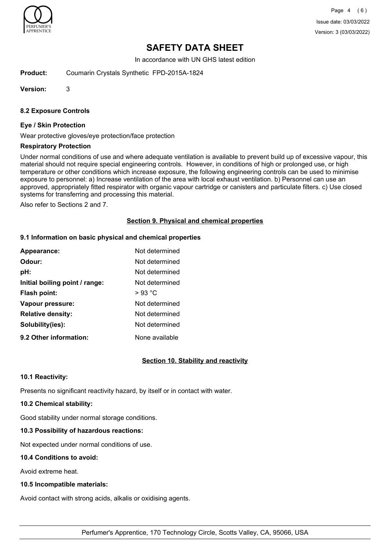

In accordance with UN GHS latest edition

**Product:** Coumarin Crystals Synthetic FPD-2015A-1824

**Version:** 3

# **8.2 Exposure Controls**

#### **Eye / Skin Protection**

Wear protective gloves/eye protection/face protection

#### **Respiratory Protection**

Under normal conditions of use and where adequate ventilation is available to prevent build up of excessive vapour, this material should not require special engineering controls. However, in conditions of high or prolonged use, or high temperature or other conditions which increase exposure, the following engineering controls can be used to minimise exposure to personnel: a) Increase ventilation of the area with local exhaust ventilation. b) Personnel can use an approved, appropriately fitted respirator with organic vapour cartridge or canisters and particulate filters. c) Use closed systems for transferring and processing this material.

Also refer to Sections 2 and 7.

# **Section 9. Physical and chemical properties**

# **9.1 Information on basic physical and chemical properties**

| Appearance:                    | Not determined |
|--------------------------------|----------------|
| Odour:                         | Not determined |
| pH:                            | Not determined |
| Initial boiling point / range: | Not determined |
| Flash point:                   | $>93$ °C       |
| Vapour pressure:               | Not determined |
| <b>Relative density:</b>       | Not determined |
| Solubility(ies):               | Not determined |
| 9.2 Other information:         | None available |

# **Section 10. Stability and reactivity**

# **10.1 Reactivity:**

Presents no significant reactivity hazard, by itself or in contact with water.

#### **10.2 Chemical stability:**

Good stability under normal storage conditions.

# **10.3 Possibility of hazardous reactions:**

Not expected under normal conditions of use.

# **10.4 Conditions to avoid:**

Avoid extreme heat.

# **10.5 Incompatible materials:**

Avoid contact with strong acids, alkalis or oxidising agents.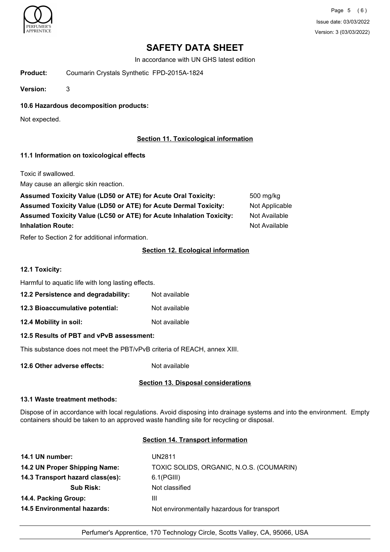

In accordance with UN GHS latest edition

**Product:** Coumarin Crystals Synthetic FPD-2015A-1824

**Version:** 3

**10.6 Hazardous decomposition products:**

Not expected.

# **Section 11. Toxicological information**

# **11.1 Information on toxicological effects**

Toxic if swallowed.

May cause an allergic skin reaction.

| <b>Assumed Toxicity Value (LD50 or ATE) for Acute Oral Toxicity:</b>       | 500 mg/kg      |
|----------------------------------------------------------------------------|----------------|
| <b>Assumed Toxicity Value (LD50 or ATE) for Acute Dermal Toxicity:</b>     | Not Applicable |
| <b>Assumed Toxicity Value (LC50 or ATE) for Acute Inhalation Toxicity:</b> | Not Available  |
| <b>Inhalation Route:</b>                                                   | Not Available  |

Refer to Section 2 for additional information.

# **Section 12. Ecological information**

**12.1 Toxicity:**

Harmful to aquatic life with long lasting effects.

- **12.2 Persistence and degradability:** Not available
- **12.3 Bioaccumulative potential:** Not available

**12.4 Mobility in soil:** Not available

# **12.5 Results of PBT and vPvB assessment:**

This substance does not meet the PBT/vPvB criteria of REACH, annex XIII.

**12.6 Other adverse effects:** Not available

# **Section 13. Disposal considerations**

#### **13.1 Waste treatment methods:**

Dispose of in accordance with local regulations. Avoid disposing into drainage systems and into the environment. Empty containers should be taken to an approved waste handling site for recycling or disposal.

# **Section 14. Transport information**

| 14.1 UN number:                    | <b>UN2811</b>                               |
|------------------------------------|---------------------------------------------|
| 14.2 UN Proper Shipping Name:      | TOXIC SOLIDS, ORGANIC, N.O.S. (COUMARIN)    |
| 14.3 Transport hazard class(es):   | $6.1$ (PGIII)                               |
| <b>Sub Risk:</b>                   | Not classified                              |
| 14.4. Packing Group:               | Ш                                           |
| <b>14.5 Environmental hazards:</b> | Not environmentally hazardous for transport |